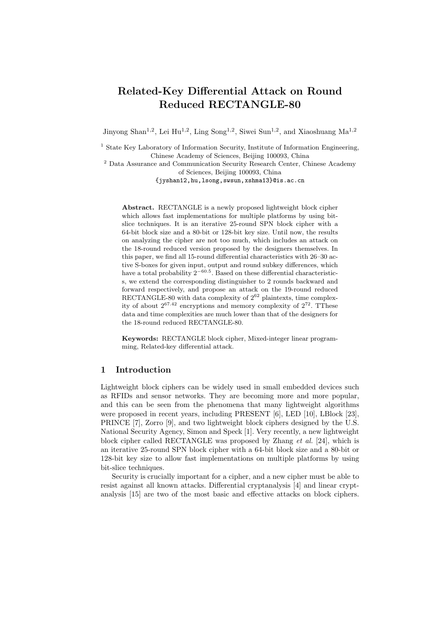# Related-Key Differential Attack on Round Reduced RECTANGLE-80

Jinyong Shan<sup>1,2</sup>, Lei Hu<sup>1,2</sup>, Ling Song<sup>1,2</sup>, Siwei Sun<sup>1,2</sup>, and Xiaoshuang Ma<sup>1,2</sup>

<sup>1</sup> State Key Laboratory of Information Security, Institute of Information Engineering, Chinese Academy of Sciences, Beijing 100093, China

<sup>2</sup> Data Assurance and Communication Security Research Center, Chinese Academy of Sciences, Beijing 100093, China

{jyshan12,hu,lsong,swsun,xshma13}@is.ac.cn

Abstract. RECTANGLE is a newly proposed lightweight block cipher which allows fast implementations for multiple platforms by using bitslice techniques. It is an iterative 25-round SPN block cipher with a 64-bit block size and a 80-bit or 128-bit key size. Until now, the results on analyzing the cipher are not too much, which includes an attack on the 18-round reduced version proposed by the designers themselves. In this paper, we find all 15-round differential characteristics with 26–30 active S-boxes for given input, output and round subkey differences, which have a total probability  $2^{-60.5}$ . Based on these differential characteristics, we extend the corresponding distinguisher to 2 rounds backward and forward respectively, and propose an attack on the 19-round reduced RECTANGLE-80 with data complexity of  $2^{62}$  plaintexts, time complexity of about  $2^{67.42}$  encryptions and memory complexity of  $2^{72}$ . TThese data and time complexities are much lower than that of the designers for the 18-round reduced RECTANGLE-80.

Keywords: RECTANGLE block cipher, Mixed-integer linear programming, Related-key differential attack.

### 1 Introduction

Lightweight block ciphers can be widely used in small embedded devices such as RFIDs and sensor networks. They are becoming more and more popular, and this can be seen from the phenomena that many lightweight algorithms were proposed in recent years, including PRESENT [6], LED [10], LBlock [23], PRINCE [7], Zorro [9], and two lightweight block ciphers designed by the U.S. National Security Agency, Simon and Speck [1]. Very recently, a new lightweight block cipher called RECTANGLE was proposed by Zhang et al. [24], which is an iterative 25-round SPN block cipher with a 64-bit block size and a 80-bit or 128-bit key size to allow fast implementations on multiple platforms by using bit-slice techniques.

Security is crucially important for a cipher, and a new cipher must be able to resist against all known attacks. Differential cryptanalysis [4] and linear cryptanalysis [15] are two of the most basic and effective attacks on block ciphers.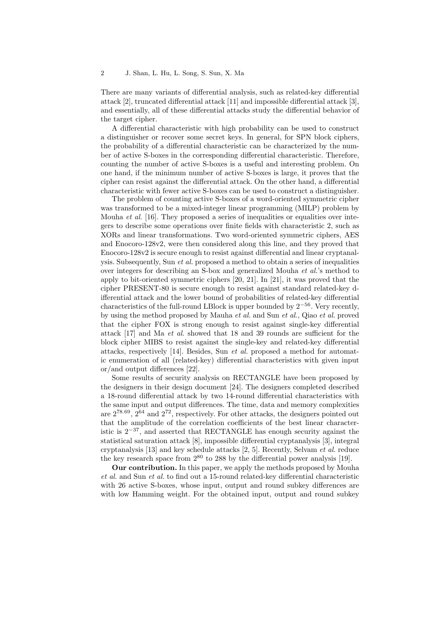There are many variants of differential analysis, such as related-key differential attack [2], truncated differential attack [11] and impossible differential attack [3], and essentially, all of these differential attacks study the differential behavior of the target cipher.

A differential characteristic with high probability can be used to construct a distinguisher or recover some secret keys. In general, for SPN block ciphers, the probability of a differential characteristic can be characterized by the number of active S-boxes in the corresponding differential characteristic. Therefore, counting the number of active S-boxes is a useful and interesting problem. On one hand, if the minimum number of active S-boxes is large, it proves that the cipher can resist against the differential attack. On the other hand, a differential characteristic with fewer active S-boxes can be used to construct a distinguisher.

The problem of counting active S-boxes of a word-oriented symmetric cipher was transformed to be a mixed-integer linear programming (MILP) problem by Mouha *et al.* [16]. They proposed a series of inequalities or equalities over integers to describe some operations over finite fields with characteristic 2, such as XORs and linear transformations. Two word-oriented symmetric ciphers, AES and Enocoro-128v2, were then considered along this line, and they proved that Enocoro-128v2 is secure enough to resist against differential and linear cryptanalysis. Subsequently, Sun et al. proposed a method to obtain a series of inequalities over integers for describing an S-box and generalized Mouha et al.'s method to apply to bit-oriented symmetric ciphers [20, 21]. In [21], it was proved that the cipher PRESENT-80 is secure enough to resist against standard related-key differential attack and the lower bound of probabilities of related-key differential characteristics of the full-round LBlock is upper bounded by  $2^{-56}$ . Very recently, by using the method proposed by Mauha et al. and Sun et al., Qiao et al. proved that the cipher FOX is strong enough to resist against single-key differential attack [17] and Ma et al. showed that 18 and 39 rounds are sufficient for the block cipher MIBS to resist against the single-key and related-key differential attacks, respectively [14]. Besides, Sun et al. proposed a method for automatic enumeration of all (related-key) differential characteristics with given input or/and output differences [22].

Some results of security analysis on RECTANGLE have been proposed by the designers in their design document [24]. The designers completed described a 18-round differential attack by two 14-round differential characteristics with the same input and output differences. The time, data and memory complexities are 278.69, 2<sup>64</sup> and 272, respectively. For other attacks, the designers pointed out that the amplitude of the correlation coefficients of the best linear characteristic is  $2^{-37}$ , and asserted that RECTANGLE has enough security against the statistical saturation attack [8], impossible differential cryptanalysis [3], integral cryptanalysis [13] and key schedule attacks [2, 5]. Recently, Selvam et al. reduce the key research space from  $2^{80}$  to 288 by the differential power analysis [19].

Our contribution. In this paper, we apply the methods proposed by Mouha et al. and Sun et al. to find out a 15-round related-key differential characteristic with 26 active S-boxes, whose input, output and round subkey differences are with low Hamming weight. For the obtained input, output and round subkey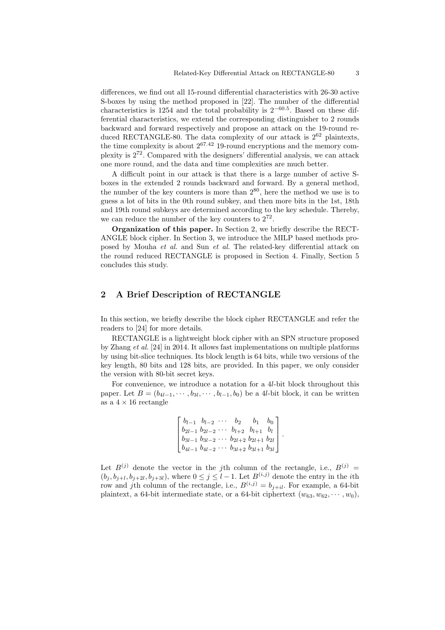differences, we find out all 15-round differential characteristics with 26-30 active S-boxes by using the method proposed in [22]. The number of the differential characteristics is 1254 and the total probability is  $2^{-60.5}$ . Based on these differential characteristics, we extend the corresponding distinguisher to 2 rounds backward and forward respectively and propose an attack on the 19-round reduced RECTANGLE-80. The data complexity of our attack is  $2^{62}$  plaintexts, the time complexity is about  $2^{67.42}$  19-round encryptions and the memory complexity is  $2^{72}$ . Compared with the designers' differential analysis, we can attack one more round, and the data and time complexities are much better.

A difficult point in our attack is that there is a large number of active Sboxes in the extended 2 rounds backward and forward. By a general method, the number of the key counters is more than  $2^{80}$ , here the method we use is to guess a lot of bits in the 0th round subkey, and then more bits in the 1st, 18th and 19th round subkeys are determined according to the key schedule. Thereby, we can reduce the number of the key counters to  $2^{72}$ .

Organization of this paper. In Section 2, we briefly describe the RECT-ANGLE block cipher. In Section 3, we introduce the MILP based methods proposed by Mouha et al. and Sun et al. The related-key differential attack on the round reduced RECTANGLE is proposed in Section 4. Finally, Section 5 concludes this study.

## 2 A Brief Description of RECTANGLE

In this section, we briefly describe the block cipher RECTANGLE and refer the readers to [24] for more details.

RECTANGLE is a lightweight block cipher with an SPN structure proposed by Zhang et al. [24] in 2014. It allows fast implementations on multiple platforms by using bit-slice techniques. Its block length is 64 bits, while two versions of the key length, 80 bits and 128 bits, are provided. In this paper, we only consider the version with 80-bit secret keys.

For convenience, we introduce a notation for a 4l-bit block throughout this paper. Let  $B = (b_{4l-1}, \dots, b_{3l}, \dots, b_{l-1}, b_0)$  be a 4l-bit block, it can be written as a  $4 \times 16$  rectangle

$$
\begin{bmatrix} b_{l-1} & b_{l-2} & \cdots & b_2 & b_1 & b_0 \ b_{2l-1} & b_{2l-2} & \cdots & b_{l+2} & b_{l+1} & b_l \ b_{3l-1} & b_{3l-2} & \cdots & b_{2l+2} & b_{2l+1} & b_{2l} \ b_{4l-1} & b_{4l-2} & \cdots & b_{3l+2} & b_{3l+1} & b_{3l} \end{bmatrix}.
$$

Let  $B^{(j)}$  denote the vector in the jth column of the rectangle, i.e.,  $B^{(j)} =$  $(b_j, b_{j+l}, b_{j+2l}, b_{j+3l})$ , where  $0 \leq j \leq l-1$ . Let  $B^{(i,j)}$  denote the entry in the *i*th row and jth column of the rectangle, i.e.,  $B^{(i,j)} = b_{j+il}$ . For example, a 64-bit plaintext, a 64-bit intermediate state, or a 64-bit ciphertext  $(w_{63}, w_{62}, \dots, w_0)$ ,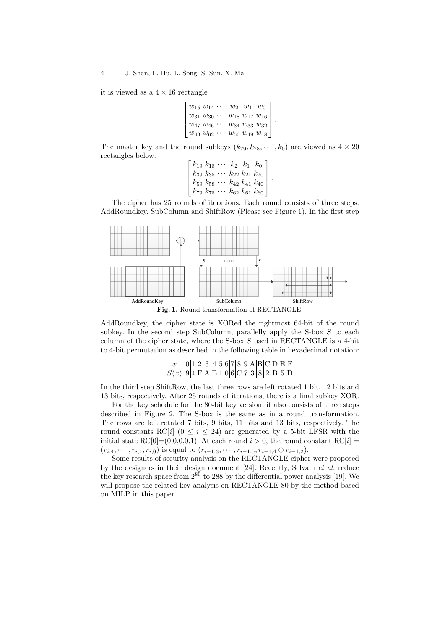it is viewed as a  $4 \times 16$  rectangle

 $\lceil$  $\Big\}$  $w_{15} w_{14} \cdots w_2 w_1 w_0$  $w_{31}$   $w_{30}$   $\cdots$   $w_{18}$   $w_{17}$   $w_{16}$  $w_{47}$   $w_{46}$   $\cdots$   $w_{34}$   $w_{33}$   $w_{32}$  $w_{63} w_{62} \cdots w_{50} w_{49} w_{48}$ 1 .

The master key and the round subkeys  $(k_{79}, k_{78}, \dots, k_0)$  are viewed as  $4 \times 20$ rectangles below.

> $\lceil$  $\Big\}$  $k_{19} k_{18} \cdots k_{2} k_{1} k_{0}$  $k_{39}$   $k_{38}$   $\cdots$   $k_{22}$   $k_{21}$   $k_{20}$  $k_{59}$   $k_{58}$   $\cdots$   $k_{42}$   $k_{41}$   $k_{40}$  $k_{79}$   $k_{78}$   $\cdots$   $k_{62}$   $k_{61}$   $k_{60}$ 1  $\overline{\phantom{a}}$

.

The cipher has 25 rounds of iterations. Each round consists of three steps: AddRoundkey, SubColumn and ShiftRow (Please see Figure 1). In the first step



Fig. 1. Round transformation of RECTANGLE.

AddRoundkey, the cipher state is XORed the rightmost 64-bit of the round subkey. In the second step SubColumn, parallelly apply the S-box  $S$  to each column of the cipher state, where the S-box  $S$  used in RECTANGLE is a 4-bit to 4-bit permutation as described in the following table in hexadecimal notation:

|                                           |  |  |  |  |  |  |  | 0 1 2 3 4 5 6 7 8 9 A B C D E F |
|-------------------------------------------|--|--|--|--|--|--|--|---------------------------------|
| $ S(x)  9 4 F A E 1 0 6 C 7 3 8 2 B 5 D $ |  |  |  |  |  |  |  |                                 |

In the third step ShiftRow, the last three rows are left rotated 1 bit, 12 bits and 13 bits, respectively. After 25 rounds of iterations, there is a final subkey XOR.

For the key schedule for the 80-bit key version, it also consists of three steps described in Figure 2. The S-box is the same as in a round transformation. The rows are left rotated 7 bits, 9 bits, 11 bits and 13 bits, respectively. The round constants RC[i] ( $0 \le i \le 24$ ) are generated by a 5-bit LFSR with the initial state RC[0]=(0,0,0,0,1). At each round  $i > 0$ , the round constant RC[i] =  $(r_{i,4}, \cdots, r_{i,1}, r_{i,0})$  is equal to  $(r_{i-1,3}, \cdots, r_{i-1,0}, r_{i-1,4} \oplus r_{i-1,2}).$ 

Some results of security analysis on the RECTANGLE cipher were proposed by the designers in their design document [24]. Recently, Selvam et al. reduce the key research space from  $2^{80}$  to 288 by the differential power analysis [19]. We will propose the related-key analysis on RECTANGLE-80 by the method based on MILP in this paper.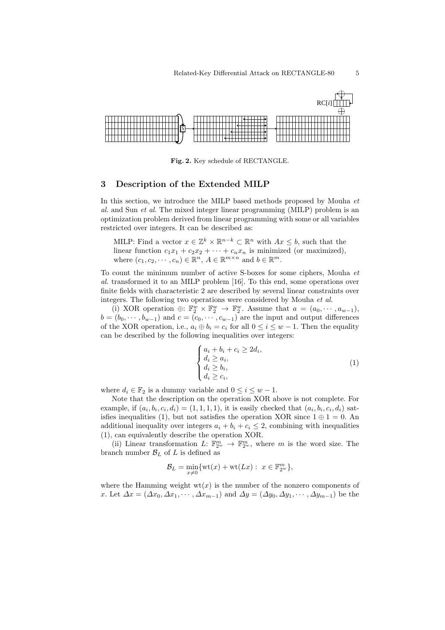

Fig. 2. Key schedule of RECTANGLE.

#### 3 Description of the Extended MILP

In this section, we introduce the MILP based methods proposed by Mouha et al. and Sun et al. The mixed integer linear programming (MILP) problem is an optimization problem derived from linear programming with some or all variables restricted over integers. It can be described as:

MILP: Find a vector  $x \in \mathbb{Z}^k \times \mathbb{R}^{n-k} \subset \mathbb{R}^n$  with  $Ax \leq b$ , such that the linear function  $c_1x_1 + c_2x_2 + \cdots + c_nx_n$  is minimized (or maximized), where  $(c_1, c_2, \dots, c_n) \in \mathbb{R}^n$ ,  $A \in \mathbb{R}^{m \times n}$  and  $b \in \mathbb{R}^m$ .

To count the minimum number of active S-boxes for some ciphers, Mouha et al. transformed it to an MILP problem [16]. To this end, some operations over finite fields with characteristic 2 are described by several linear constraints over integers. The following two operations were considered by Mouha et al.

(i) XOR operation  $\oplus: \mathbb{F}_2^w \times \mathbb{F}_2^w \to \mathbb{F}_2^w$ . Assume that  $a = (a_0, \dots, a_{w-1}),$  $b = (b_0, \dots, b_{w-1})$  and  $c = (c_0, \dots, c_{w-1})$  are the input and output differences of the XOR operation, i.e.,  $a_i \oplus b_i = c_i$  for all  $0 \le i \le w - 1$ . Then the equality can be described by the following inequalities over integers:

$$
\begin{cases}\n a_i + b_i + c_i \ge 2d_i, \\
 d_i \ge a_i, \\
 d_i \ge b_i, \\
 d_i \ge c_i,\n\end{cases} (1)
$$

where  $d_i \in \mathbb{F}_2$  is a dummy variable and  $0 \leq i \leq w-1$ .

Note that the description on the operation XOR above is not complete. For example, if  $(a_i, b_i, c_i, d_i) = (1, 1, 1, 1)$ , it is easily checked that  $(a_i, b_i, c_i, d_i)$  satisfies inequalities (1), but not satisfies the operation XOR since  $1 \oplus 1 = 0$ . An additional inequality over integers  $a_i + b_i + c_i \leq 2$ , combining with inequalities (1), can equivalently describe the operation XOR.

(ii) Linear transformation L:  $\mathbb{F}_{2^w}^m \to \mathbb{F}_{2^w}^m$ , where m is the word size. The branch number  $\mathcal{B}_L$  of L is defined as

$$
\mathcal{B}_L = \min_{x \neq 0} \{ \operatorname{wt}(x) + \operatorname{wt}(Lx) : \ x \in \mathbb{F}_{2^w}^m \},
$$

where the Hamming weight  $wt(x)$  is the number of the nonzero components of x. Let  $\Delta x = (\Delta x_0, \Delta x_1, \cdots, \Delta x_{m-1})$  and  $\Delta y = (\Delta y_0, \Delta y_1, \cdots, \Delta y_{m-1})$  be the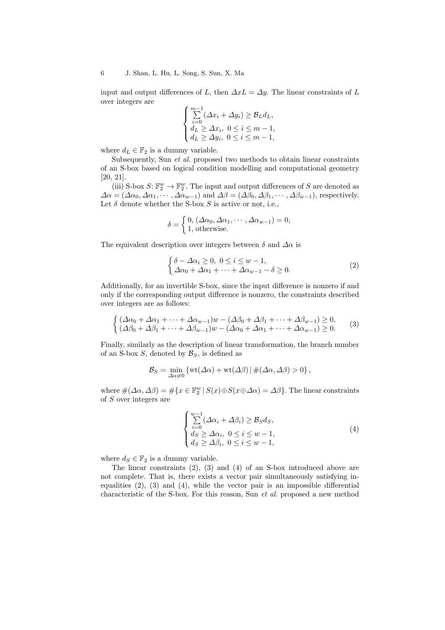input and output differences of L, then  $\Delta xL = \Delta y$ . The linear constraints of L over integers are

$$
\begin{cases}\n\sum_{i=0}^{m-1} (\Delta x_i + \Delta y_i) \geq \mathcal{B}_L d_L, \\
d_L \geq \Delta x_i, \ 0 \leq i \leq m-1, \\
d_L \geq \Delta y_i, \ 0 \leq i \leq m-1,\n\end{cases}
$$

where  $d_L \in \mathbb{F}_2$  is a dummy variable.

Subsequently, Sun et al. proposed two methods to obtain linear constraints of an S-box based on logical condition modelling and computational geometry [20, 21].

(iii) S-box  $S: \mathbb{F}_2^w \to \mathbb{F}_2^w$ . The input and output differences of S are denoted as  $\Delta \alpha = (\Delta \alpha_0, \Delta \alpha_1, \cdots, \Delta \alpha_{w-1})$  and  $\Delta \beta = (\Delta \beta_0, \Delta \beta_1, \cdots, \Delta \beta_{w-1})$ , respectively. Let  $\delta$  denote whether the S-box  $S$  is active or not, i.e.,

$$
\delta = \begin{cases} 0, (\Delta \alpha_0, \Delta \alpha_1, \cdots, \Delta \alpha_{w-1}) = 0, \\ 1, \text{ otherwise.} \end{cases}
$$

The equivalent description over integers between  $\delta$  and  $\Delta \alpha$  is

$$
\begin{cases} \delta - \Delta \alpha_i \ge 0, \ 0 \le i \le w - 1, \\ \Delta \alpha_0 + \Delta \alpha_1 + \dots + \Delta \alpha_{w-1} - \delta \ge 0. \end{cases} \tag{2}
$$

Additionally, for an invertible S-box, since the input difference is nonzero if and only if the corresponding output difference is nonzero, the constraints described over integers are as follows:

$$
\begin{cases}\n(\Delta \alpha_0 + \Delta \alpha_1 + \dots + \Delta \alpha_{w-1})w - (\Delta \beta_0 + \Delta \beta_1 + \dots + \Delta \beta_{w-1}) \ge 0, \\
(\Delta \beta_0 + \Delta \beta_1 + \dots + \Delta \beta_{w-1})w - (\Delta \alpha_0 + \Delta \alpha_1 + \dots + \Delta \alpha_{w-1}) \ge 0.\n\end{cases}
$$
\n(3)

Finally, similarly as the description of linear transformation, the branch number of an S-box  $S$ , denoted by  $\mathcal{B}_S$ , is defined as

$$
\mathcal{B}_S = \min_{\Delta \alpha \neq 0} \left\{ \text{wt}(\Delta \alpha) + \text{wt}(\Delta \beta) \, | \, \#(\Delta \alpha, \Delta \beta) > 0 \right\},\,
$$

where  $\#(\Delta \alpha, \Delta \beta) = \#\{x \in \mathbb{F}_2^w \mid S(x) \oplus S(x \oplus \Delta \alpha) = \Delta \beta\}.$  The linear constraints of S over integers are

$$
\begin{cases}\n\sum_{i=0}^{w-1} (\Delta \alpha_i + \Delta \beta_i) \ge \mathcal{B}_S d_S, \\
d_S \ge \Delta \alpha_i, \ 0 \le i \le w-1, \\
d_S \ge \Delta \beta_i, \ 0 \le i \le w-1,\n\end{cases} (4)
$$

where  $d_S \in \mathbb{F}_2$  is a dummy variable.

The linear constraints (2), (3) and (4) of an S-box introduced above are not complete. That is, there exists a vector pair simultaneously satisfying inequalities  $(2)$ ,  $(3)$  and  $(4)$ , while the vector pair is an impossible differential characteristic of the S-box. For this reason, Sun et al. proposed a new method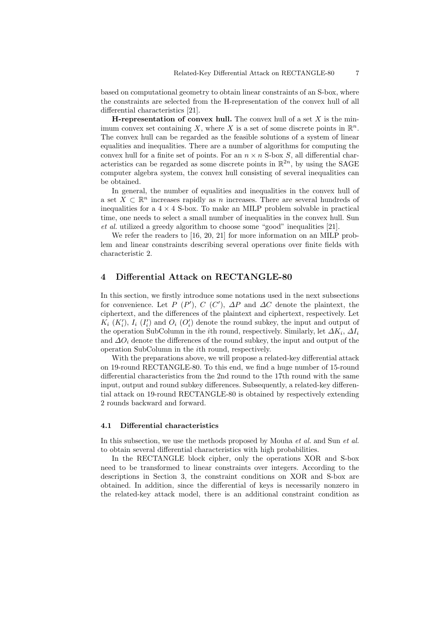based on computational geometry to obtain linear constraints of an S-box, where the constraints are selected from the H-representation of the convex hull of all differential characteristics [21].

**H-representation of convex hull.** The convex hull of a set  $X$  is the minimum convex set containing X, where X is a set of some discrete points in  $\mathbb{R}^n$ . The convex hull can be regarded as the feasible solutions of a system of linear equalities and inequalities. There are a number of algorithms for computing the convex hull for a finite set of points. For an  $n \times n$  S-box S, all differential characteristics can be regarded as some discrete points in  $\mathbb{R}^{2n}$ , by using the SAGE computer algebra system, the convex hull consisting of several inequalities can be obtained.

In general, the number of equalities and inequalities in the convex hull of a set  $\bar{X} \subset \mathbb{R}^n$  increases rapidly as n increases. There are several hundreds of inequalities for a  $4 \times 4$  S-box. To make an MILP problem solvable in practical time, one needs to select a small number of inequalities in the convex hull. Sun et al. utilized a greedy algorithm to choose some "good" inequalities [21].

We refer the readers to [16, 20, 21] for more information on an MILP problem and linear constraints describing several operations over finite fields with characteristic 2.

#### 4 Differential Attack on RECTANGLE-80

In this section, we firstly introduce some notations used in the next subsections for convenience. Let P  $(P')$ , C  $(C')$ ,  $\Delta P$  and  $\Delta C$  denote the plaintext, the ciphertext, and the differences of the plaintext and ciphertext, respectively. Let  $K_i$   $(K_i')$ ,  $I_i$   $(I_i')$  and  $O_i$   $(O_i')$  denote the round subkey, the input and output of the operation SubColumn in the *i*th round, respectively. Similarly, let  $\Delta K_i$ ,  $\Delta I_i$ and  $\Delta O_i$  denote the differences of the round subkey, the input and output of the operation SubColumn in the ith round, respectively.

With the preparations above, we will propose a related-key differential attack on 19-round RECTANGLE-80. To this end, we find a huge number of 15-round differential characteristics from the 2nd round to the 17th round with the same input, output and round subkey differences. Subsequently, a related-key differential attack on 19-round RECTANGLE-80 is obtained by respectively extending 2 rounds backward and forward.

#### 4.1 Differential characteristics

In this subsection, we use the methods proposed by Mouha *et al.* and Sun *et al.* to obtain several differential characteristics with high probabilities.

In the RECTANGLE block cipher, only the operations XOR and S-box need to be transformed to linear constraints over integers. According to the descriptions in Section 3, the constraint conditions on XOR and S-box are obtained. In addition, since the differential of keys is necessarily nonzero in the related-key attack model, there is an additional constraint condition as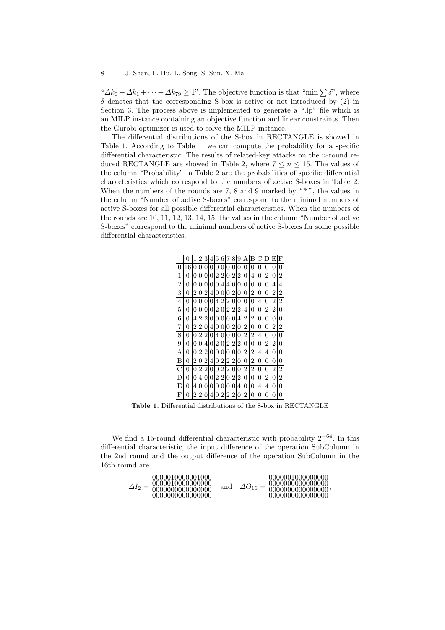" $\Delta k_0 + \Delta k_1 + \cdots + \Delta k_{79} \ge 1$ ". The objective function is that "min  $\sum \delta$ ", where  $\delta$  denotes that the corresponding S-box is active or not introduced by (2) in Section 3. The process above is implemented to generate a ".lp" file which is an MILP instance containing an objective function and linear constraints. Then the Gurobi optimizer is used to solve the MILP instance.

The differential distributions of the S-box in RECTANGLE is showed in Table 1. According to Table 1, we can compute the probability for a specific differential characteristic. The results of related-key attacks on the n-round reduced RECTANGLE are showed in Table 2, where  $7 \leq n \leq 15$ . The values of the column "Probability" in Table 2 are the probabilities of specific differential characteristics which correspond to the numbers of active S-boxes in Table 2. When the numbers of the rounds are  $7, 8$  and  $9$  marked by " $*$ ", the values in the column "Number of active S-boxes" correspond to the minimal numbers of active S-boxes for all possible differential characteristics. When the numbers of the rounds are 10, 11, 12, 13, 14, 15, the values in the column "Number of active S-boxes" correspond to the minimal numbers of active S-boxes for some possible differential characteristics.

|              | $\theta$ | 1        | 2 | 3 | 4 | 5 | 6 |   | 8 | 9              | А | R              |   |   | E              | F |
|--------------|----------|----------|---|---|---|---|---|---|---|----------------|---|----------------|---|---|----------------|---|
| 0            | 16       | $\theta$ | 0 | 0 | 0 | 0 | 0 | 0 | 0 | 0              | 0 | 0              | 0 | 0 | 0              | 0 |
| 1            | 0        | 0        | 0 | 0 | 0 | 2 | 2 | 0 | 2 | 2              | 0 | 4              | 0 | 2 | 0              | 2 |
| 2            | 0        | 0        | 0 | 0 | 0 | 0 | 4 | 4 | 0 | 0              | 0 | 0              | 0 | 0 | 4              | 4 |
| 3            | 0        | 2        | 0 | 2 | 4 | 0 | 0 | 0 | 2 | 0              | 0 | $\overline{2}$ | 0 | 0 | $\overline{2}$ | 2 |
| 4            | 0        | 0        | 0 | 0 | 0 | 4 | 2 | 2 | 0 | 0              | 0 | 0              | 4 | 0 | 2              | 2 |
| 5            | 0        | 0        | 0 | 0 | 0 | 2 | 0 | 2 | 2 | 2              | 4 | 0              | 0 | 2 | 2              | 0 |
| 6            | 0        | 4        | 2 | 2 | 0 | 0 | 0 | 0 | 0 | 4              | 2 | 2              | 0 | 0 | 0              | 0 |
| 7            | 0        | 2        | 2 | 0 | 4 | 0 | 0 | 0 | 2 | 0              | 2 | 0              | 0 | 0 | 2              | 2 |
| 8            | 0        | 0        | 2 | 2 | 0 | 4 | 0 | 0 | 0 | 0              | 2 | 2              | 4 | 0 | 0              | 0 |
| 9            | 0        | 0        | 0 | 4 | 0 | 2 | 0 | 2 | 2 | $\overline{2}$ | 0 | 0              | 0 | 2 | 2              | 0 |
| А            | 0        | 0        | 2 | 2 | 0 | 0 | 0 | 0 | 0 | 0              | 2 | $\overline{2}$ | 4 | 4 | 0              | 0 |
| B            | 0        | 2        | 0 | 2 | 4 | 0 | 2 | 2 | 2 | 0              | 0 | 2              | 0 | 0 | 0              | 0 |
| $\mathcal C$ | 0        | 0        | 2 | 2 | 0 | 0 | 2 | 2 | 0 | 0              | 2 | 2              | 0 | 0 | 2              | 2 |
| D            | 0        | 0        | 4 | 0 | 0 | 2 | 2 | 0 | 2 | 2              | 0 | 0              | 0 | 2 | 0              | 2 |
| E            | 0        | 4        | 0 | 0 | 0 | 0 | 0 | 0 | 0 | 4              | 0 | 0              | 4 | 4 | 0              | 0 |
| F            | 0        | 2        | 2 | 0 | 4 | 0 | 2 | 2 | 2 | 0              | 2 | 0              | 0 | 0 | 0              | 0 |

Table 1. Differential distributions of the S-box in RECTANGLE

We find a 15-round differential characteristic with probability  $2^{-64}$ . In this differential characteristic, the input difference of the operation SubColumn in the 2nd round and the output difference of the operation SubColumn in the 16th round are

∆I<sup>2</sup> = 0000010000001000 0000010000000000 0000000000000000 0000000000000000 and ∆O<sup>16</sup> = 0000001000000000 0000000000000000 0000000000000000 0000000000000000 ,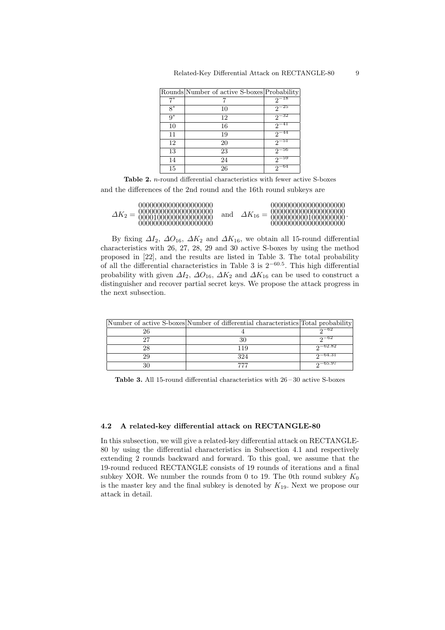|       | Rounds Number of active S-boxes Probability |           |
|-------|---------------------------------------------|-----------|
| 7*    |                                             | $2^{-18}$ |
| $8^*$ | 10                                          | $2^{-25}$ |
| $9^*$ | 12                                          | $2^{-32}$ |
| 10    | 16                                          | $2^{-41}$ |
| 11    | 19                                          | $2^{-44}$ |
| 12    | 20                                          | $2^{-51}$ |
| 13    | 23                                          | $2^{-56}$ |
| 14    | 24                                          | $2^{-59}$ |
| 15    | 26                                          | -64       |

Table 2. n-round differential characteristics with fewer active S-boxes

and the differences of the 2nd round and the 16th round subkeys are

By fixing  $\Delta I_2$ ,  $\Delta O_{16}$ ,  $\Delta K_2$  and  $\Delta K_{16}$ , we obtain all 15-round differential characteristics with 26, 27, 28, 29 and 30 active S-boxes by using the method proposed in [22], and the results are listed in Table 3. The total probability of all the differential characteristics in Table 3 is  $2^{-60.5}$ . This high differential probability with given  $\Delta I_2$ ,  $\Delta O_{16}$ ,  $\Delta K_2$  and  $\Delta K_{16}$  can be used to construct a distinguisher and recover partial secret keys. We propose the attack progress in the next subsection.

| Number of active S-boxes Number of differential characteristics Total probability |              |
|-----------------------------------------------------------------------------------|--------------|
|                                                                                   | $n - 62$     |
|                                                                                   | $0^{-62}$    |
| 119                                                                               | $2^{-62.82}$ |
| 324                                                                               | $2-64.31$    |
|                                                                                   | $-05.9t$     |

Table 3. All 15-round differential characteristics with 26 – 30 active S-boxes

#### 4.2 A related-key differential attack on RECTANGLE-80

In this subsection, we will give a related-key differential attack on RECTANGLE-80 by using the differential characteristics in Subsection 4.1 and respectively extending 2 rounds backward and forward. To this goal, we assume that the 19-round reduced RECTANGLE consists of 19 rounds of iterations and a final subkey XOR. We number the rounds from 0 to 19. The 0th round subkey  $K_0$ is the master key and the final subkey is denoted by  $K_{19}$ . Next we propose our attack in detail.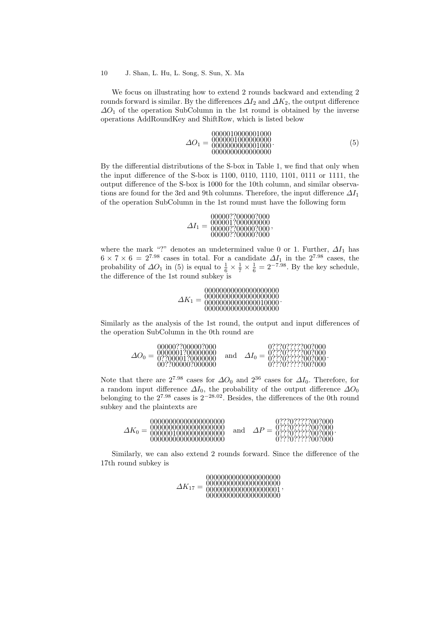#### 10 J. Shan, L. Hu, L. Song, S. Sun, X. Ma

We focus on illustrating how to extend 2 rounds backward and extending 2 rounds forward is similar. By the differences  $\Delta I_2$  and  $\Delta K_2$ , the output difference  $\Delta O_1$  of the operation SubColumn in the 1st round is obtained by the inverse operations AddRoundKey and ShiftRow, which is listed below

∆O<sup>1</sup> = 0000010000001000 0000001000000000 0000000000001000 0000000000000000 . (5)

.

By the differential distributions of the S-box in Table 1, we find that only when the input difference of the S-box is 1100, 0110, 1110, 1101, 0111 or 1111, the output difference of the S-box is 1000 for the 10th column, and similar observations are found for the 3rd and 9th columns. Therefore, the input difference  $\Delta I_1$ of the operation SubColumn in the 1st round must have the following form

> $\Delta I_1 =$ 00000??00000?000<br>000001?000000000<br>00000??00000?000<br>00000??00000?000 ,

where the mark "?" denotes an undetermined value 0 or 1. Further,  $\Delta I_1$  has  $6 \times 7 \times 6 = 2^{7.98}$  cases in total. For a candidate  $\Delta I_1$  in the  $2^{7.98}$  cases, the probability of  $\Delta O_1$  in (5) is equal to  $\frac{1}{6} \times \frac{1}{7} \times \frac{1}{6} = 2^{-7.98}$ . By the key schedule, the difference of the 1st round subkey is

> ∆K<sup>1</sup> = 00000000000000000000 00000000000000010000 00000000000000000000 00000000000000000000 .

Similarly as the analysis of the 1st round, the output and input differences of the operation SubColumn in the 0th round are

|  | 00000??00000?000<br>0000001?00000000<br>$\Delta O_0 = 0.878000012000000$<br>00??00000?000000 | and |  | 0???0?????00?000<br>0???0??????00?000<br>0???0??????00?000 |
|--|----------------------------------------------------------------------------------------------|-----|--|------------------------------------------------------------|
|--|----------------------------------------------------------------------------------------------|-----|--|------------------------------------------------------------|

Note that there are  $2^{7.98}$  cases for  $\Delta O_0$  and  $2^{36}$  cases for  $\Delta I_0$ . Therefore, for a random input difference  $\Delta I_0$ , the probability of the output difference  $\Delta O_0$ belonging to the  $2^{7.98}$  cases is  $2^{-28.02}$ . Besides, the differences of the 0th round subkey and the plaintexts are

Similarly, we can also extend 2 rounds forward. Since the difference of the 17th round subkey is

00000000000000000000

| 00000000000000000000<br>$\varDelta K_{17}$<br>00000000000000000001 | ,,,,,,,,,,,,,,,,,,,,,,,,,,,,, |
|--------------------------------------------------------------------|-------------------------------|
| 00000000000000000000                                               |                               |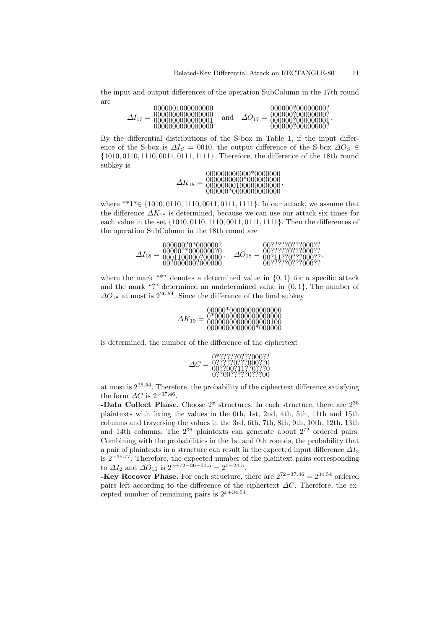the input and output differences of the operation SubColumn in the 17th round are

| 0000001000000000<br>0000000000000000<br>0000000000000001<br>0000000000000000 | and | $\Delta O_{17}$ | 000000?00000000?<br>000000?00000000?<br>00000000000000001<br>000000?00000000? |
|------------------------------------------------------------------------------|-----|-----------------|-------------------------------------------------------------------------------|
|------------------------------------------------------------------------------|-----|-----------------|-------------------------------------------------------------------------------|

By the differential distributions of the S-box in Table 1, if the input difference of the S-box is  $\Delta I_S = 0010$ , the output difference of the S-box  $\Delta O_S \in$ {1010, 0110, 1110, 0011, 0111, 1111}. Therefore, the difference of the 18th round subkey is

> ∆K<sup>18</sup> = 0000000000\*000000000 00000000100000000000 000000\*0000000000000 000000000000\*0000000 ,

where \*\*1\*∈ {1010, 0110, 1110, 0011, 0111, 1111}. In our attack, we assume that the difference  $\Delta K_{18}$  is determined, because we can use our attack six times for each value in the set {1010, 0110, 1110, 0011, 0111, 1111}. Then the differences of the operation SubColumn in the 18th round are

| $\Delta I_{18} = $ | 000000?0*000000?<br>00000?*0000000?0<br>0001100000?00000<br>00?000000?000000 | $\Delta O_{18} =$ | 00??????0???000??<br>00??????0???000??<br>00?11??0???000??<br>00??????0???000?? |
|--------------------|------------------------------------------------------------------------------|-------------------|---------------------------------------------------------------------------------|
|--------------------|------------------------------------------------------------------------------|-------------------|---------------------------------------------------------------------------------|

,

where the mark "\*" denotes a determined value in  $\{0, 1\}$  for a specific attack and the mark "?" determined an undetermined value in  $\{0, 1\}$ . The number of  $\Delta O_{18}$  at most is  $2^{26.54}$ . Since the difference of the final subkey

|                 | 00000*00000000000000<br>0*000000000000000000 |
|-----------------|----------------------------------------------|
| $\Delta K_{19}$ | 00000000000000000100<br>0000000000000*000000 |

is determined, the number of the difference of the ciphertext

| 0*?????0???000??<br>0?????0???000??0<br>$\Delta C$<br>00??00?11??0????0<br>0??00??????0???00 |
|----------------------------------------------------------------------------------------------|
|----------------------------------------------------------------------------------------------|

at most is 226.54. Therefore, the probability of the ciphertext difference satisfying the form  $\Delta C$  is  $2^{-37.46}$ .

**-Data Collect Phase.** Choose  $2^x$  structures. In each structure, there are  $2^{36}$ plaintexts with fixing the values in the 0th, 1st, 2nd, 4th, 5th, 11th and 15th columns and traversing the values in the 3rd, 6th, 7th, 8th, 9th, 10th, 12th, 13th and 14th columns. The  $2^{36}$  plaintexts can generate about  $2^{72}$  ordered pairs. Combining with the probabilities in the 1st and 0th rounds, the probability that a pair of plaintexts in a structure can result in the expected input difference  $\Delta I_2$ is  $2^{-35.77}$ . Therefore, the expected number of the plaintext pairs corresponding to  $\Delta I_2$  and  $\Delta O_{16}$  is  $2^{x+72-36-60.5} = 2^{x-24.5}$ .

-Key Recover Phase. For each structure, there are  $2^{72-37.46} = 2^{34.54}$  ordered pairs left according to the difference of the ciphertext  $\Delta C$ . Therefore, the excepted number of remaining pairs is  $2^{x+34.54}$ .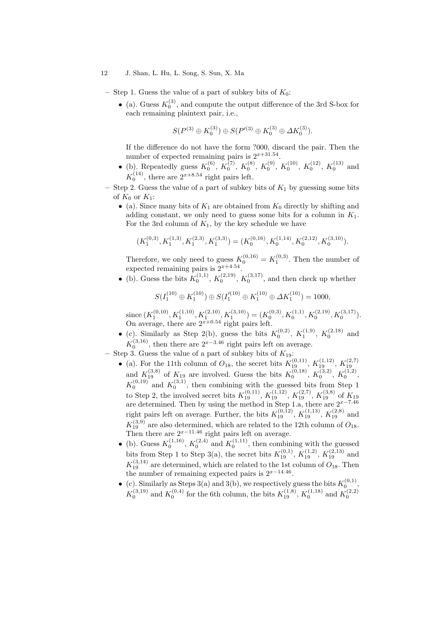#### 12 J. Shan, L. Hu, L. Song, S. Sun, X. Ma

- Step 1. Guess the value of a part of subkey bits of  $K_0$ :
	- (a). Guess  $K_0^{(3)}$ , and compute the output difference of the 3rd S-box for each remaining plaintext pair, i.e.,

$$
S(P^{(3)} \oplus K_0^{(3)}) \oplus S(P'^{(3)} \oplus K_0^{(3)} \oplus \Delta K_0^{(3)}).
$$

If the difference do not have the form ?000, discard the pair. Then the number of expected remaining pairs is  $2^{x+31.54}$ .

- (b). Repeatedly guess  $K_0^{(6)}$ ,  $K_0^{(7)}$ ,  $K_0^{(8)}$ ,  $K_0^{(9)}$ ,  $K_0^{(10)}$ ,  $K_0^{(12)}$ ,  $K_0^{(13)}$  and  $K_0^{(14)}$ , there are  $2^{x+8.54}$  right pairs left.
- Step 2. Guess the value of a part of subkey bits of  $K_1$  by guessing some bits of  $K_0$  or  $K_1$ :
	- (a). Since many bits of  $K_1$  are obtained from  $K_0$  directly by shifting and adding constant, we only need to guess some bits for a column in  $K_1$ . For the 3rd column of  $K_1$ , by the key schedule we have

$$
(K_1^{(0,3)},K_1^{(1,3)},K_1^{(2,3)},K_1^{(3,3)})=(K_0^{(0,16)},K_0^{(1,14)},K_0^{(2,12)},K_0^{(3,10)}).
$$

Therefore, we only need to guess  $K_0^{(0,16)} = K_1^{(0,3)}$ . Then the number of expected remaining pairs is  $2^{x+4.54}$ .

• (b). Guess the bits  $K_0^{(1,1)}$ ,  $K_0^{(2,19)}$ ,  $K_0^{(3,17)}$ , and then check up whether

$$
S(I_1^{(10)} \oplus K_1^{(10)}) \oplus S(I'_1^{(10)} \oplus K_1^{(10)} \oplus \Delta K_1^{(10)}) = 1000,
$$

since  $(K_1^{(0,10)}, K_1^{(1,10)}, K_1^{(2,10)}, K_1^{(3,10)}) = (K_0^{(0,3)}, K_0^{(1,1)}, K_0^{(2,19)}, K_0^{(3,17)})$ . On average, there are  $2^{x+0.54}$  right pairs left.

• (c). Similarly as Step 2(b), guess the bits  $K_0^{(0,2)}$ ,  $K_1^{(1,9)}$ ,  $K_0^{(2,18)}$  and  $K_0^{(3,16)}$ , then there are  $2^{x-3.46}$  right pairs left on average.

 $\Lambda_0$ , then there are 2 and the pairs felt on av<br>- Step 3. Guess the value of a part of subkey bits of  $K_{19}$ :

- (a). For the 11th column of  $O_{18}$ , the secret bits  $K_{19}^{(0,11)}$ ,  $K_{19}^{(1,12)}$ ,  $K_{19}^{(2,7)}$ and  $K_{19}^{(3,8)}$  of  $K_{19}$  are involved. Guess the bits  $K_0^{(0,18)}$ ,  $K_0^{(3,2)}$ ,  $K_0^{(1,2)}$ ,  $K_0^{(0,19)}$  and  $K_0^{(3,1)}$ , then combining with the guessed bits from Step 1 to Step 2, the involved secret bits  $K_{19}^{(0,11)}$ ,  $K_{19}^{(1,12)}$ ,  $K_{19}^{(2,7)}$ ,  $K_{19}^{(3,8)}$  of  $K_{19}$ are determined. Then by using the method in Step 1.a, there are  $2^{x-7.46}$ right pairs left on average. Further, the bits  $K_{19}^{(0,12)}$ ,  $K_{19}^{(1,13)}$ ,  $K_{19}^{(2,8)}$  and  $K_{39}^{(3,9)}$  are also determined which are related to the 19th solumn of O  $K_{19}^{(3,9)}$  are also determined, which are related to the 12th column of  $O_{18}$ . Then there are  $2^{x-11.46}$  right pairs left on average.
- (b). Guess  $K_0^{(1,16)}$ ,  $K_0^{(2,4)}$  and  $K_0^{(1,11)}$ , then combining with the guessed bits from Step 1 to Step 3(a), the secret bits  $K_{19}^{(0,1)}$ ,  $K_{19}^{(1,2)}$ ,  $K_{19}^{(2,13)}$  and  $K_{19}^{(3,14)}$  are determined, which are related to the 1st column of  $O_{18}$ . Then the number of remaining expected pairs is  $2^{x-14.46}$ .
- (c). Similarly as Steps 3(a) and 3(b), we respectively guess the bits  $K_0^{(0,1)}$ ,  $K_0^{(3,19)}$  and  $K_0^{(0,4)}$  for the 6th column, the bits  $K_{19}^{(1,8)}$ ,  $K_0^{(1,18)}$  and  $K_0^{(2,2)}$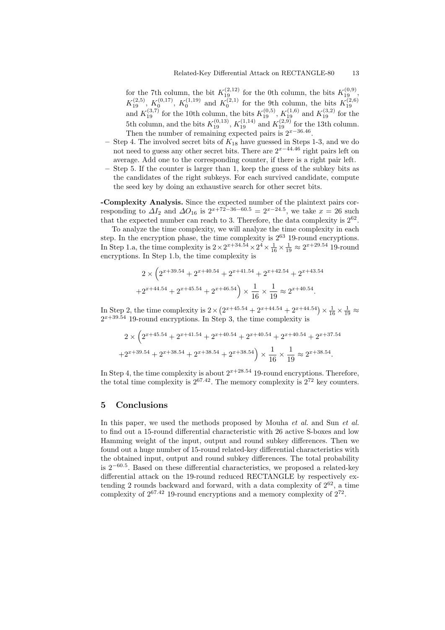for the 7th column, the bit  $K_{19}^{(2,12)}$  for the 0th column, the bits  $K_{19}^{(0,9)}$ ,  $K_{19}^{(2,5)}$ ,  $K_0^{(0,17)}$ ,  $K_0^{(1,19)}$  and  $K_0^{(2,1)}$  for the 9th column, the bits  $K_{19}^{(2,6)}$ and  $K_{19}^{(3,7)}$  for the 10th column, the bits  $K_{19}^{(0,5)}$ ,  $K_{19}^{(1,6)}$  and  $K_{19}^{(3,2)}$  for the 5th column, and the bits  $K_{19}^{(0,13)}$ ,  $K_{19}^{(1,14)}$  and  $K_{19}^{(2,9)}$  for the 13th column. Then the number of remaining expected pairs is  $2^{x-36.46}$ .

- Step 4. The involved secret bits of  $K_{18}$  have guessed in Steps 1-3, and we do not need to guess any other secret bits. There are  $2^{x-44.46}$  right pairs left on average. Add one to the corresponding counter, if there is a right pair left.
- Step 5. If the counter is larger than 1, keep the guess of the subkey bits as the candidates of the right subkeys. For each survived candidate, compute the seed key by doing an exhaustive search for other secret bits.

-Complexity Analysis. Since the expected number of the plaintext pairs corresponding to  $\Delta I_2$  and  $\Delta O_{16}$  is  $2^{x+72-36-60.5} = 2^{x-24.5}$ , we take  $x = 26$  such that the expected number can reach to 3. Therefore, the data complexity is  $2^{62}$ .

To analyze the time complexity, we will analyze the time complexity in each step. In the encryption phase, the time complexity is  $2^{63}$  19-round encryptions. In Step 1.a, the time complexity is  $2 \times 2^{x+34.54} \times 2^4 \times \frac{1}{16} \times \frac{1}{19} \approx 2^{x+29.54}$  19-round encryptions. In Step 1.b, the time complexity is

$$
2 \times \left(2^{x+39.54} + 2^{x+40.54} + 2^{x+41.54} + 2^{x+42.54} + 2^{x+43.54} + 2^{x+44.54} + 2^{x+45.54} + 2^{x+46.54}\right) \times \frac{1}{16} \times \frac{1}{19} \approx 2^{x+40.54}.
$$

In Step 2, the time complexity is  $2 \times (2^{x+45.54} + 2^{x+44.54} + 2^{x+44.54}) \times \frac{1}{16} \times \frac{1}{19} \approx$  $2^{x+39.54}$  19-round encryptions. In Step 3, the time complexity is

$$
2 \times \left(2^{x+45.54} + 2^{x+41.54} + 2^{x+40.54} + 2^{x+40.54} + 2^{x+40.54} + 2^{x+37.54} + 2^{x+39.54} + 2^{x+38.54} + 2^{x+38.54} + 2^{x+38.54} + 2^{x+38.54}\right) \times \frac{1}{16} \times \frac{1}{19} \approx 2^{x+38.54}.
$$

In Step 4, the time complexity is about  $2^{x+28.54}$  19-round encryptions. Therefore, the total time complexity is  $2^{67.42}$ . The memory complexity is  $2^{72}$  key counters.

## 5 Conclusions

In this paper, we used the methods proposed by Mouha et al. and Sun et al. to find out a 15-round differential characteristic with 26 active S-boxes and low Hamming weight of the input, output and round subkey differences. Then we found out a huge number of 15-round related-key differential characteristics with the obtained input, output and round subkey differences. The total probability is 2<sup>−</sup>60.<sup>5</sup> . Based on these differential characteristics, we proposed a related-key differential attack on the 19-round reduced RECTANGLE by respectively extending 2 rounds backward and forward, with a data complexity of  $2^{62}$ , a time complexity of  $2^{67.42}$  19-round encryptions and a memory complexity of  $2^{72}$ .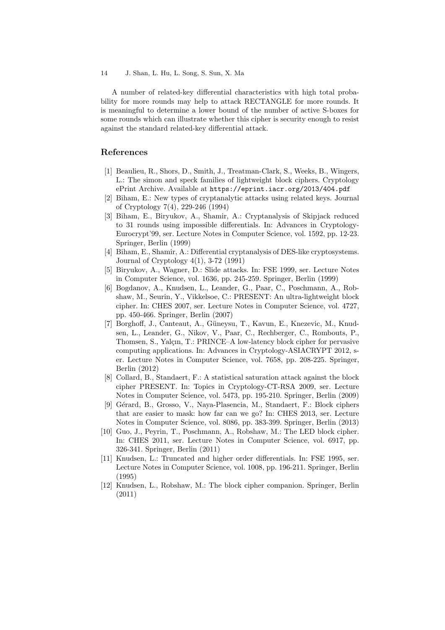A number of related-key differential characteristics with high total probability for more rounds may help to attack RECTANGLE for more rounds. It is meaningful to determine a lower bound of the number of active S-boxes for some rounds which can illustrate whether this cipher is security enough to resist against the standard related-key differential attack.

## References

- [1] Beaulieu, R., Shors, D., Smith, J., Treatman-Clark, S., Weeks, B., Wingers, L.: The simon and speck families of lightweight block ciphers. Cryptology ePrint Archive. Available at https://eprint.iacr.org/2013/404.pdf
- [2] Biham, E.: New types of cryptanalytic attacks using related keys. Journal of Cryptology 7(4), 229-246 (1994)
- [3] Biham, E., Biryukov, A., Shamir, A.: Cryptanalysis of Skipjack reduced to 31 rounds using impossible differentials. In: Advances in Cryptology-Eurocrypt'99, ser. Lecture Notes in Computer Science, vol. 1592, pp. 12-23. Springer, Berlin (1999)
- [4] Biham, E., Shamir, A.: Differential cryptanalysis of DES-like cryptosystems. Journal of Cryptology 4(1), 3-72 (1991)
- [5] Biryukov, A., Wagner, D.: Slide attacks. In: FSE 1999, ser. Lecture Notes in Computer Science, vol. 1636, pp. 245-259. Springer, Berlin (1999)
- [6] Bogdanov, A., Knudsen, L., Leander, G., Paar, C., Poschmann, A., Robshaw, M., Seurin, Y., Vikkelsoe, C.: PRESENT: An ultra-lightweight block cipher. In: CHES 2007, ser. Lecture Notes in Computer Science, vol. 4727, pp. 450-466. Springer, Berlin (2007)
- [7] Borghoff, J., Canteaut, A., Güneysu, T., Kavun, E., Knezevic, M., Knudsen, L., Leander, G., Nikov, V., Paar, C., Rechberger, C., Rombouts, P., Thomsen, S., Yalçın, T.: PRINCE–A low-latency block cipher for pervasive computing applications. In: Advances in Cryptology-ASIACRYPT 2012, ser. Lecture Notes in Computer Science, vol. 7658, pp. 208-225. Springer, Berlin (2012)
- [8] Collard, B., Standaert, F.: A statistical saturation attack against the block cipher PRESENT. In: Topics in Cryptology-CT-RSA 2009, ser. Lecture Notes in Computer Science, vol. 5473, pp. 195-210. Springer, Berlin (2009)
- [9] Gérard, B., Grosso, V., Naya-Plasencia, M., Standaert, F.: Block ciphers that are easier to mask: how far can we go? In: CHES 2013, ser. Lecture Notes in Computer Science, vol. 8086, pp. 383-399. Springer, Berlin (2013)
- [10] Guo, J., Peyrin, T., Poschmann, A., Robshaw, M.: The LED block cipher. In: CHES 2011, ser. Lecture Notes in Computer Science, vol. 6917, pp. 326-341. Springer, Berlin (2011)
- [11] Knudsen, L.: Truncated and higher order differentials. In: FSE 1995, ser. Lecture Notes in Computer Science, vol. 1008, pp. 196-211. Springer, Berlin (1995)
- [12] Knudsen, L., Robshaw, M.: The block cipher companion. Springer, Berlin (2011)